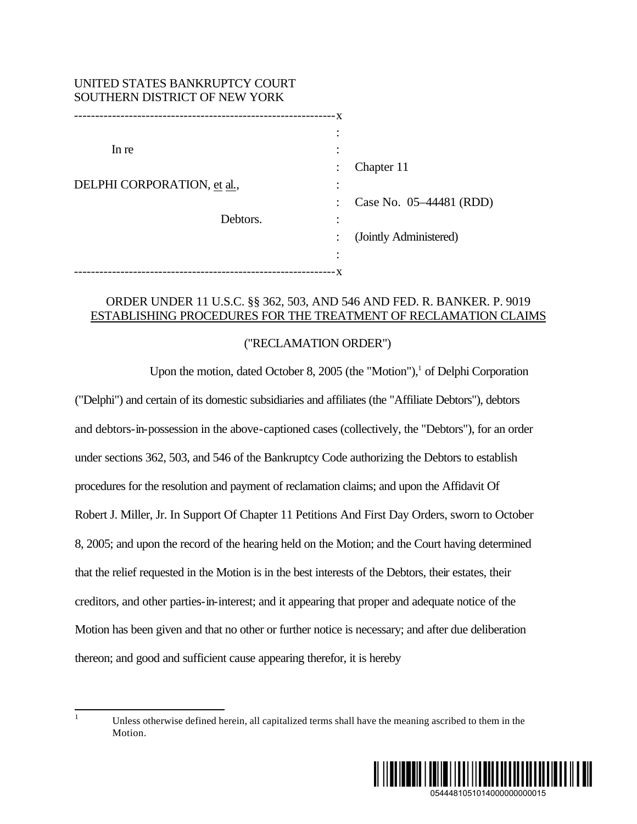| UNITED STATES BANKRUPTCY COURT<br>SOUTHERN DISTRICT OF NEW YORK |                         |
|-----------------------------------------------------------------|-------------------------|
|                                                                 |                         |
|                                                                 | $\bullet$               |
| In re                                                           |                         |
|                                                                 | Chapter 11              |
| DELPHI CORPORATION, et al.,                                     |                         |
|                                                                 | Case No. 05-44481 (RDD) |
| Debtors.                                                        |                         |
|                                                                 | (Jointly Administered)  |
|                                                                 | ٠                       |
| - X<br>------------------                                       |                         |

## ORDER UNDER 11 U.S.C. §§ 362, 503, AND 546 AND FED. R. BANKER. P. 9019 ESTABLISHING PROCEDURES FOR THE TREATMENT OF RECLAMATION CLAIMS

## ("RECLAMATION ORDER")

Upon the motion, dated October 8, 2005 (the "Motion"),<sup>1</sup> of Delphi Corporation ("Delphi") and certain of its domestic subsidiaries and affiliates (the "Affiliate Debtors"), debtors and debtors-in-possession in the above-captioned cases (collectively, the "Debtors"), for an order under sections 362, 503, and 546 of the Bankruptcy Code authorizing the Debtors to establish procedures for the resolution and payment of reclamation claims; and upon the Affidavit Of Robert J. Miller, Jr. In Support Of Chapter 11 Petitions And First Day Orders, sworn to October 8, 2005; and upon the record of the hearing held on the Motion; and the Court having determined that the relief requested in the Motion is in the best interests of the Debtors, their estates, their creditors, and other parties-in-interest; and it appearing that proper and adequate notice of the Motion has been given and that no other or further notice is necessary; and after due deliberation thereon; and good and sufficient cause appearing therefor, it is hereby

 $\mathbf{1}$ Unless otherwise defined herein, all capitalized terms shall have the meaning ascribed to them in the Motion.

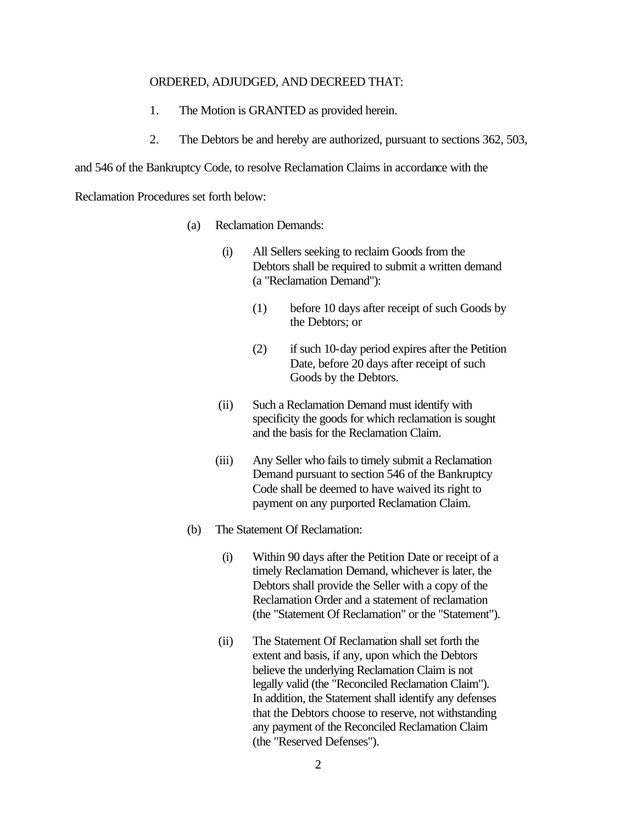## ORDERED, ADJUDGED, AND DECREED THAT:

- 1. The Motion is GRANTED as provided herein.
- 2. The Debtors be and hereby are authorized, pursuant to sections 362, 503,

and 546 of the Bankruptcy Code, to resolve Reclamation Claims in accordance with the

Reclamation Procedures set forth below:

- (a) Reclamation Demands:
	- (i) All Sellers seeking to reclaim Goods from the Debtors shall be required to submit a written demand (a "Reclamation Demand"):
		- (1) before 10 days after receipt of such Goods by the Debtors; or
		- (2) if such 10-day period expires after the Petition Date, before 20 days after receipt of such Goods by the Debtors.
	- (ii) Such a Reclamation Demand must identify with specificity the goods for which reclamation is sought and the basis for the Reclamation Claim.
	- (iii) Any Seller who fails to timely submit a Reclamation Demand pursuant to section 546 of the Bankruptcy Code shall be deemed to have waived its right to payment on any purported Reclamation Claim.
- (b) The Statement Of Reclamation:
	- (i) Within 90 days after the Petition Date or receipt of a timely Reclamation Demand, whichever is later, the Debtors shall provide the Seller with a copy of the Reclamation Order and a statement of reclamation (the "Statement Of Reclamation" or the "Statement").
	- (ii) The Statement Of Reclamation shall set forth the extent and basis, if any, upon which the Debtors believe the underlying Reclamation Claim is not legally valid (the "Reconciled Reclamation Claim"). In addition, the Statement shall identify any defenses that the Debtors choose to reserve, not withstanding any payment of the Reconciled Reclamation Claim (the "Reserved Defenses").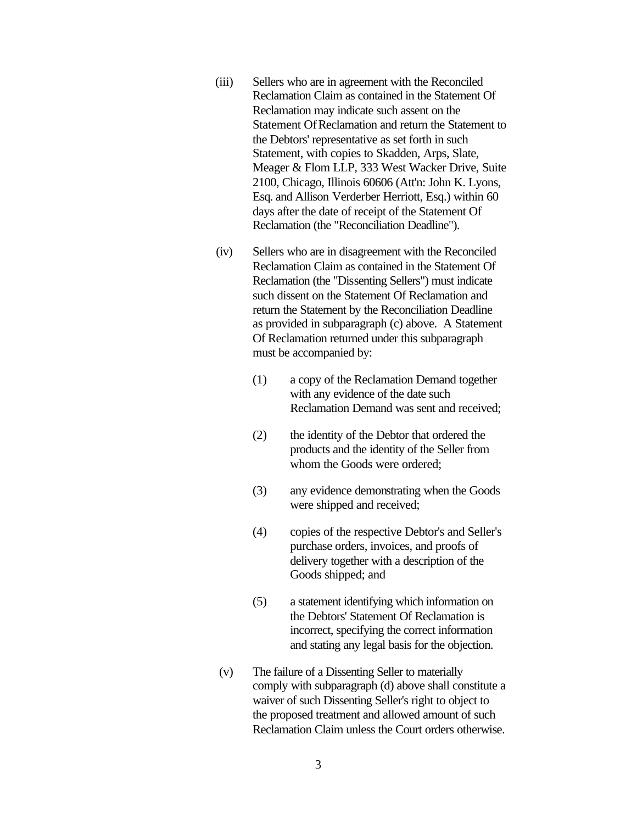- (iii) Sellers who are in agreement with the Reconciled Reclamation Claim as contained in the Statement Of Reclamation may indicate such assent on the Statement Of Reclamation and return the Statement to the Debtors' representative as set forth in such Statement, with copies to Skadden, Arps, Slate, Meager & Flom LLP, 333 West Wacker Drive, Suite 2100, Chicago, Illinois 60606 (Att'n: John K. Lyons, Esq. and Allison Verderber Herriott, Esq.) within 60 days after the date of receipt of the Statement Of Reclamation (the "Reconciliation Deadline").
- (iv) Sellers who are in disagreement with the Reconciled Reclamation Claim as contained in the Statement Of Reclamation (the "Dissenting Sellers") must indicate such dissent on the Statement Of Reclamation and return the Statement by the Reconciliation Deadline as provided in subparagraph (c) above. A Statement Of Reclamation returned under this subparagraph must be accompanied by:
	- (1) a copy of the Reclamation Demand together with any evidence of the date such Reclamation Demand was sent and received;
	- (2) the identity of the Debtor that ordered the products and the identity of the Seller from whom the Goods were ordered;
	- (3) any evidence demonstrating when the Goods were shipped and received;
	- (4) copies of the respective Debtor's and Seller's purchase orders, invoices, and proofs of delivery together with a description of the Goods shipped; and
	- (5) a statement identifying which information on the Debtors' Statement Of Reclamation is incorrect, specifying the correct information and stating any legal basis for the objection.
- (v) The failure of a Dissenting Seller to materially comply with subparagraph (d) above shall constitute a waiver of such Dissenting Seller's right to object to the proposed treatment and allowed amount of such Reclamation Claim unless the Court orders otherwise.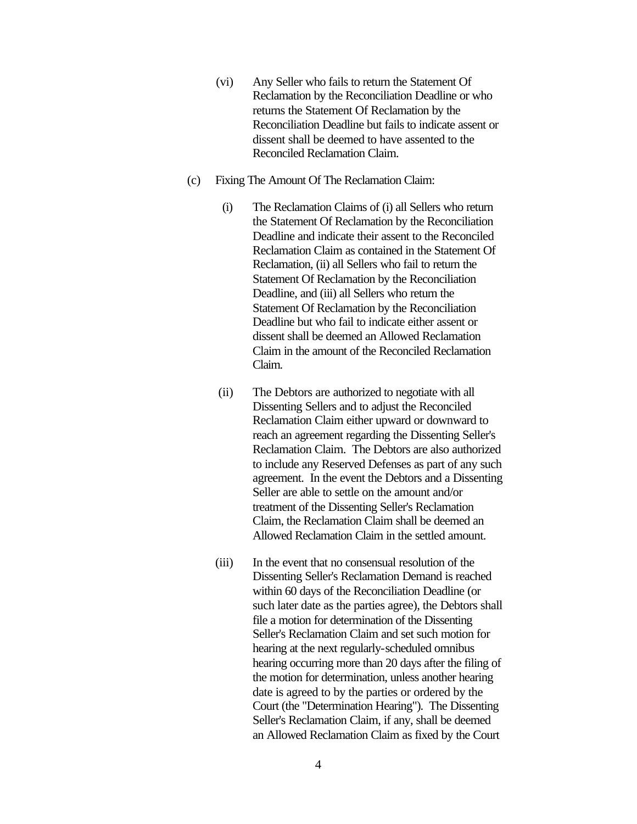- (vi) Any Seller who fails to return the Statement Of Reclamation by the Reconciliation Deadline or who returns the Statement Of Reclamation by the Reconciliation Deadline but fails to indicate assent or dissent shall be deemed to have assented to the Reconciled Reclamation Claim.
- (c) Fixing The Amount Of The Reclamation Claim:
	- (i) The Reclamation Claims of (i) all Sellers who return the Statement Of Reclamation by the Reconciliation Deadline and indicate their assent to the Reconciled Reclamation Claim as contained in the Statement Of Reclamation, (ii) all Sellers who fail to return the Statement Of Reclamation by the Reconciliation Deadline, and (iii) all Sellers who return the Statement Of Reclamation by the Reconciliation Deadline but who fail to indicate either assent or dissent shall be deemed an Allowed Reclamation Claim in the amount of the Reconciled Reclamation Claim.
	- (ii) The Debtors are authorized to negotiate with all Dissenting Sellers and to adjust the Reconciled Reclamation Claim either upward or downward to reach an agreement regarding the Dissenting Seller's Reclamation Claim. The Debtors are also authorized to include any Reserved Defenses as part of any such agreement. In the event the Debtors and a Dissenting Seller are able to settle on the amount and/or treatment of the Dissenting Seller's Reclamation Claim, the Reclamation Claim shall be deemed an Allowed Reclamation Claim in the settled amount.
	- (iii) In the event that no consensual resolution of the Dissenting Seller's Reclamation Demand is reached within 60 days of the Reconciliation Deadline (or such later date as the parties agree), the Debtors shall file a motion for determination of the Dissenting Seller's Reclamation Claim and set such motion for hearing at the next regularly-scheduled omnibus hearing occurring more than 20 days after the filing of the motion for determination, unless another hearing date is agreed to by the parties or ordered by the Court (the "Determination Hearing"). The Dissenting Seller's Reclamation Claim, if any, shall be deemed an Allowed Reclamation Claim as fixed by the Court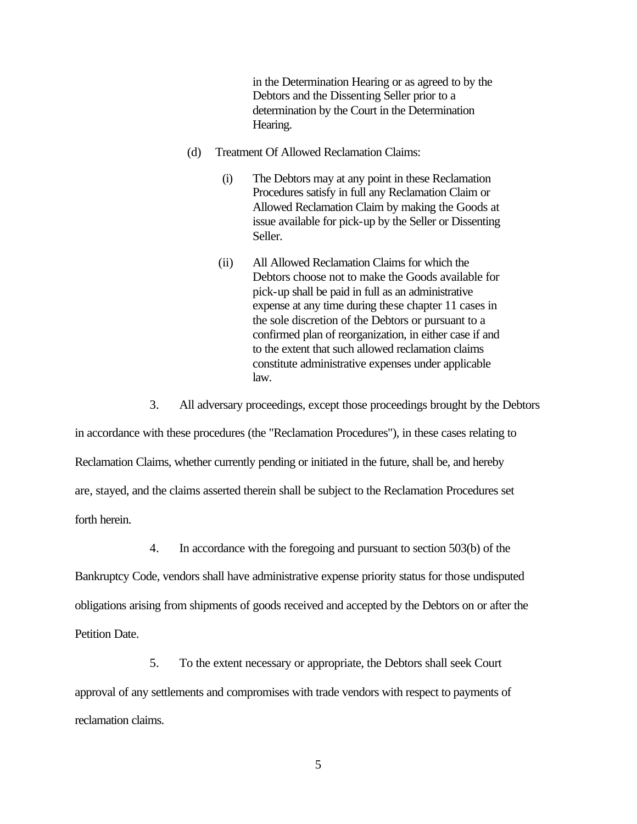in the Determination Hearing or as agreed to by the Debtors and the Dissenting Seller prior to a determination by the Court in the Determination Hearing.

- (d) Treatment Of Allowed Reclamation Claims:
	- (i) The Debtors may at any point in these Reclamation Procedures satisfy in full any Reclamation Claim or Allowed Reclamation Claim by making the Goods at issue available for pick-up by the Seller or Dissenting Seller.
	- (ii) All Allowed Reclamation Claims for which the Debtors choose not to make the Goods available for pick-up shall be paid in full as an administrative expense at any time during these chapter 11 cases in the sole discretion of the Debtors or pursuant to a confirmed plan of reorganization, in either case if and to the extent that such allowed reclamation claims constitute administrative expenses under applicable law.
- 3. All adversary proceedings, except those proceedings brought by the Debtors

in accordance with these procedures (the "Reclamation Procedures"), in these cases relating to Reclamation Claims, whether currently pending or initiated in the future, shall be, and hereby are, stayed, and the claims asserted therein shall be subject to the Reclamation Procedures set forth herein.

4. In accordance with the foregoing and pursuant to section 503(b) of the

Bankruptcy Code, vendors shall have administrative expense priority status for those undisputed obligations arising from shipments of goods received and accepted by the Debtors on or after the Petition Date.

5. To the extent necessary or appropriate, the Debtors shall seek Court approval of any settlements and compromises with trade vendors with respect to payments of reclamation claims.